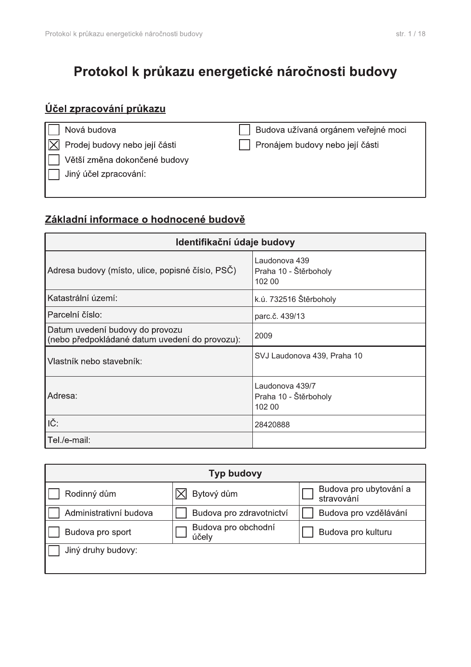# Protokol k průkazu energetické náročnosti budovy

# Účel zpracování průkazu

| $ \nabla$ Prodej budovy nebo její části<br>Pronájem budovy nebo její části |  |
|----------------------------------------------------------------------------|--|
| Větší změna dokončené budovy                                               |  |
| Jiný účel zpracování:                                                      |  |

# Základní informace o hodnocené budově

| Identifikační údaje budovy                                                        |                                                    |  |  |  |  |
|-----------------------------------------------------------------------------------|----------------------------------------------------|--|--|--|--|
| Adresa budovy (místo, ulice, popisné číslo, PSČ)                                  | Laudonova 439<br>Praha 10 - Štěrboholy<br>102 00   |  |  |  |  |
| Katastrální území:                                                                | k.ú. 732516 Štěrboholy                             |  |  |  |  |
| Parcelní číslo:                                                                   | parc.č. 439/13                                     |  |  |  |  |
| Datum uvedení budovy do provozu<br>(nebo předpokládané datum uvedení do provozu): | 2009                                               |  |  |  |  |
| Vlastník nebo stavebník:                                                          | SVJ Laudonova 439, Praha 10                        |  |  |  |  |
| Adresa:                                                                           | Laudonova 439/7<br>Praha 10 - Štěrboholy<br>102 00 |  |  |  |  |
| IČ:                                                                               | 28420888                                           |  |  |  |  |
| Tel./e-mail:                                                                      |                                                    |  |  |  |  |

| <b>Typ budovy</b>      |                              |                                      |  |  |  |  |
|------------------------|------------------------------|--------------------------------------|--|--|--|--|
| Rodinný dům            | Bytový dům                   | Budova pro ubytování a<br>stravování |  |  |  |  |
| Administrativní budova | Budova pro zdravotnictví     | Budova pro vzdělávání                |  |  |  |  |
| Budova pro sport       | Budova pro obchodní<br>účely | Budova pro kulturu                   |  |  |  |  |
| Jiný druhy budovy:     |                              |                                      |  |  |  |  |
|                        |                              |                                      |  |  |  |  |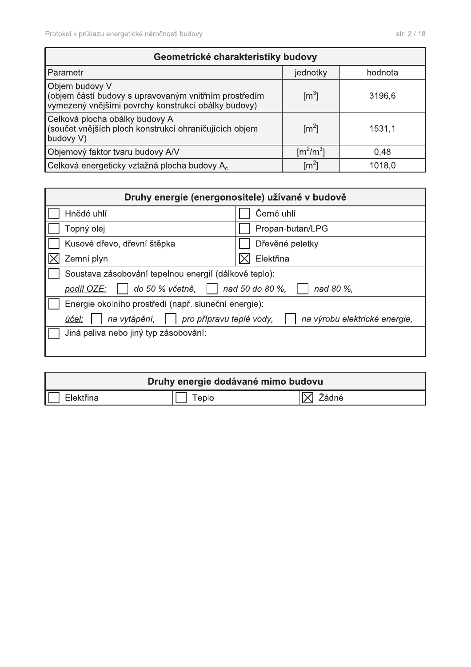| Geometrické charakteristiky budovy                                                                                             |                          |         |  |  |  |  |  |  |
|--------------------------------------------------------------------------------------------------------------------------------|--------------------------|---------|--|--|--|--|--|--|
| Parametr                                                                                                                       | jednotky                 | hodnota |  |  |  |  |  |  |
| Objem budovy V<br>(objem částí budovy s upravovaným vnitřním prostředím<br>vymezený vnějšími povrchy konstrukcí obálky budovy) | $\text{Im}^3$            | 3196,6  |  |  |  |  |  |  |
| Celková plocha obálky budovy A<br>(součet vnějších ploch konstrukcí ohraničujících objem<br>budovy V)                          | $\text{[m}^2$            | 1531,1  |  |  |  |  |  |  |
| Objemový faktor tvaru budovy A/V                                                                                               | $\text{[m}^2/\text{m}^3$ | 0,48    |  |  |  |  |  |  |
| Celková energeticky vztažná plocha budovy A.                                                                                   | $\text{Im}^2$            | 1018,0  |  |  |  |  |  |  |

| Druhy energie (energonositele) užívané v budově       |                               |  |  |  |  |
|-------------------------------------------------------|-------------------------------|--|--|--|--|
| Hnědé uhlí                                            | Černé uhlí                    |  |  |  |  |
| Topný olej                                            | Propan-butan/LPG              |  |  |  |  |
| Kusové dřevo, dřevní štěpka                           | Dřevěné peletky               |  |  |  |  |
| Zemní plyn                                            | Elektřina                     |  |  |  |  |
| Soustava zásobování tepelnou energií (dálkové teplo): |                               |  |  |  |  |
| do 50 % včetně, $ $   nad 50 do 80 %,<br>podíl OZE:   | nad 80 %,                     |  |  |  |  |
| Energie okolního prostředí (např. sluneční energie):  |                               |  |  |  |  |
| na vytápění,     pro přípravu teplé vody,<br>účel:    | na výrobu elektrické energie, |  |  |  |  |
| Jiná paliva nebo jiný typ zásobování:                 |                               |  |  |  |  |
|                                                       |                               |  |  |  |  |

| Druhy energie dodávané mimo budovu |      |       |  |  |  |  |
|------------------------------------|------|-------|--|--|--|--|
| Elektřina                          | eplo | Zádné |  |  |  |  |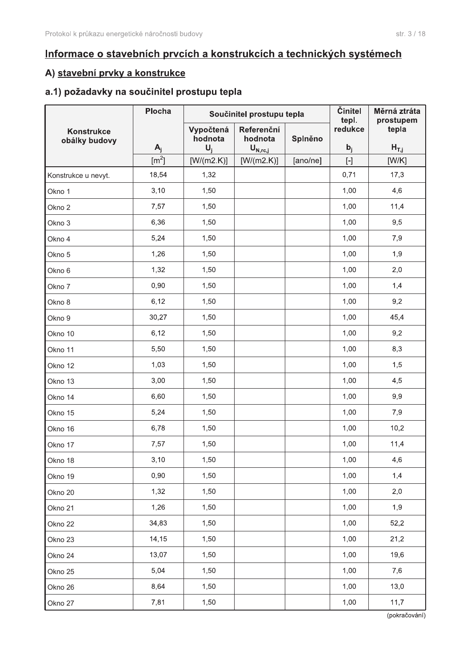# Informace o stavebních prvcích a konstrukcích a technických systémech

#### A) stavební prvky a konstrukce

## a.1) požadavky na součinitel prostupu tepla

|                                    | Plocha                |                               | Součinitel prostupu tepla               | <b>Činitel</b><br>tepl. | Měrná ztráta<br>prostupem                                                                                                                                                                                                                                                                                                                                                                                                                                                                                                                                                                           |                    |
|------------------------------------|-----------------------|-------------------------------|-----------------------------------------|-------------------------|-----------------------------------------------------------------------------------------------------------------------------------------------------------------------------------------------------------------------------------------------------------------------------------------------------------------------------------------------------------------------------------------------------------------------------------------------------------------------------------------------------------------------------------------------------------------------------------------------------|--------------------|
| <b>Konstrukce</b><br>obálky budovy | $A_i$                 | Vypočtená<br>hodnota<br>$U_i$ | Referenční<br>hodnota<br>$U_{N, rc, j}$ | Splněno                 | redukce<br>$b_j$                                                                                                                                                                                                                                                                                                                                                                                                                                                                                                                                                                                    | tepla<br>$H_{T,j}$ |
|                                    | $\text{[m}^2\text{]}$ | [W/(m2.K)]                    | [W/(m2.K)]                              | [ano/ne]                | $\left[ -\right] % \includegraphics[width=0.9\columnwidth]{figures/fig_2b.pdf} \caption{The graph $\mathcal{N}_1$ is a function of the parameter $\mathcal{N}_1$ and $\mathcal{N}_2$ is a function of the parameter $\mathcal{N}_1$ and $\mathcal{N}_2$ is a function of the parameter $\mathcal{N}_1$ and $\mathcal{N}_2$ is a function of the parameter $\mathcal{N}_1$ and $\mathcal{N}_2$ is a function of the parameter $\mathcal{N}_1$ and $\mathcal{N}_2$ is a function of the parameter $\mathcal{N}_1$ and $\mathcal{N}_2$ is a function of the parameter $\mathcal{N}_1$.} \label{fig:1}$ | [WWK]              |
| Konstrukce u nevyt.                | 18,54                 | 1,32                          |                                         |                         | 0,71                                                                                                                                                                                                                                                                                                                                                                                                                                                                                                                                                                                                | 17,3               |
| Okno 1                             | 3,10                  | 1,50                          |                                         |                         | 1,00                                                                                                                                                                                                                                                                                                                                                                                                                                                                                                                                                                                                | 4,6                |
| Okno <sub>2</sub>                  | 7,57                  | 1,50                          |                                         |                         | 1,00                                                                                                                                                                                                                                                                                                                                                                                                                                                                                                                                                                                                | 11,4               |
| Okno 3                             | 6,36                  | 1,50                          |                                         |                         | 1,00                                                                                                                                                                                                                                                                                                                                                                                                                                                                                                                                                                                                | 9,5                |
| Okno 4                             | 5,24                  | 1,50                          |                                         |                         | 1,00                                                                                                                                                                                                                                                                                                                                                                                                                                                                                                                                                                                                | 7,9                |
| Okno 5                             | 1,26                  | 1,50                          |                                         |                         | 1,00                                                                                                                                                                                                                                                                                                                                                                                                                                                                                                                                                                                                | 1,9                |
| Okno 6                             | 1,32                  | 1,50                          |                                         |                         | 1,00                                                                                                                                                                                                                                                                                                                                                                                                                                                                                                                                                                                                | 2,0                |
| Okno 7                             | 0,90                  | 1,50                          |                                         |                         | 1,00                                                                                                                                                                                                                                                                                                                                                                                                                                                                                                                                                                                                | 1,4                |
| Okno 8                             | 6,12                  | 1,50                          |                                         |                         | 1,00                                                                                                                                                                                                                                                                                                                                                                                                                                                                                                                                                                                                | 9,2                |
| Okno 9                             | 30,27                 | 1,50                          |                                         |                         | 1,00                                                                                                                                                                                                                                                                                                                                                                                                                                                                                                                                                                                                | 45,4               |
| Okno 10                            | 6,12                  | 1,50                          |                                         |                         | 1,00                                                                                                                                                                                                                                                                                                                                                                                                                                                                                                                                                                                                | 9,2                |
| Okno 11                            | 5,50                  | 1,50                          |                                         |                         | 1,00                                                                                                                                                                                                                                                                                                                                                                                                                                                                                                                                                                                                | 8,3                |
| Okno 12                            | 1,03                  | 1,50                          |                                         |                         | 1,00                                                                                                                                                                                                                                                                                                                                                                                                                                                                                                                                                                                                | 1,5                |
| Okno 13                            | 3,00                  | 1,50                          |                                         |                         | 1,00                                                                                                                                                                                                                                                                                                                                                                                                                                                                                                                                                                                                | 4,5                |
| Okno 14                            | 6,60                  | 1,50                          |                                         |                         | 1,00                                                                                                                                                                                                                                                                                                                                                                                                                                                                                                                                                                                                | 9,9                |
| Okno 15                            | 5,24                  | 1,50                          |                                         |                         | 1,00                                                                                                                                                                                                                                                                                                                                                                                                                                                                                                                                                                                                | 7,9                |
| Okno 16                            | 6,78                  | 1,50                          |                                         |                         | 1,00                                                                                                                                                                                                                                                                                                                                                                                                                                                                                                                                                                                                | 10,2               |
| Okno 17                            | 7,57                  | 1,50                          |                                         |                         | 1,00                                                                                                                                                                                                                                                                                                                                                                                                                                                                                                                                                                                                | 11,4               |
| Okno 18                            | 3,10                  | 1,50                          |                                         |                         | 1,00                                                                                                                                                                                                                                                                                                                                                                                                                                                                                                                                                                                                | 4,6                |
| Okno 19                            | 0,90                  | 1,50                          |                                         |                         | 1,00                                                                                                                                                                                                                                                                                                                                                                                                                                                                                                                                                                                                | 1,4                |
| Okno 20                            | 1,32                  | 1,50                          |                                         |                         | 1,00                                                                                                                                                                                                                                                                                                                                                                                                                                                                                                                                                                                                | 2,0                |
| Okno 21                            | 1,26                  | 1,50                          |                                         |                         | 1,00                                                                                                                                                                                                                                                                                                                                                                                                                                                                                                                                                                                                | 1,9                |
| Okno 22                            | 34,83                 | 1,50                          |                                         |                         | 1,00                                                                                                                                                                                                                                                                                                                                                                                                                                                                                                                                                                                                | 52,2               |
| Okno 23                            | 14,15                 | 1,50                          |                                         |                         | 1,00                                                                                                                                                                                                                                                                                                                                                                                                                                                                                                                                                                                                | 21,2               |
| Okno 24                            | 13,07                 | 1,50                          |                                         |                         | 1,00                                                                                                                                                                                                                                                                                                                                                                                                                                                                                                                                                                                                | 19,6               |
| Okno 25                            | 5,04                  | 1,50                          |                                         |                         | 1,00                                                                                                                                                                                                                                                                                                                                                                                                                                                                                                                                                                                                | 7,6                |
| Okno 26                            | 8,64                  | 1,50                          |                                         |                         | 1,00                                                                                                                                                                                                                                                                                                                                                                                                                                                                                                                                                                                                | 13,0               |
| Okno 27                            | 7,81                  | 1,50                          |                                         |                         | 1,00                                                                                                                                                                                                                                                                                                                                                                                                                                                                                                                                                                                                | 11,7               |

(pokračování)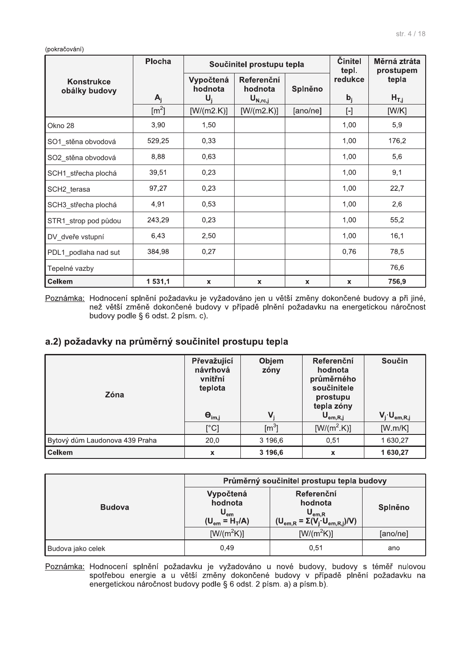(pokračování)

|                                    | <b>Plocha</b>         |                               | Součinitel prostupu tepla                                                 | <b>Cinitel</b><br>tepl. | Měrná ztráta<br>prostupem                                                                                                                                                                                                                                                                                                                                                                                                                                                                                                                                                               |                    |
|------------------------------------|-----------------------|-------------------------------|---------------------------------------------------------------------------|-------------------------|-----------------------------------------------------------------------------------------------------------------------------------------------------------------------------------------------------------------------------------------------------------------------------------------------------------------------------------------------------------------------------------------------------------------------------------------------------------------------------------------------------------------------------------------------------------------------------------------|--------------------|
| <b>Konstrukce</b><br>obálky budovy | $A_i$                 | Vypočtená<br>hodnota<br>$U_i$ | Referenční<br>hodnota<br>$\mathsf{U}_{\mathsf{N},\mathsf{rc},\mathsf{j}}$ | Splněno                 | redukce<br>$b_i$                                                                                                                                                                                                                                                                                                                                                                                                                                                                                                                                                                        | tepla<br>$H_{T,i}$ |
|                                    | $\text{[m}^2\text{]}$ | [W/(m2.K)]                    | [W/(m2.K)]                                                                | [ano/ne]                | $[\cdot] % \centering \includegraphics[width=0.9\columnwidth]{figures/fig_10.pdf} \caption{The graph $\mathcal{N}_1$ is a function of the number of~\textit{N}_1$-error of the number of~\textit{N}_2$-error of the number of~\textit{N}_1$-error of the number of~\textit{N}_2$-error of the number of~\textit{N}_1$-error of the number of~\textit{N}_2$-error of the number of~\textit{N}_1$-error of the number of~\textit{N}_2$-error of the number of~\textit{N}_1$-error of the number of~\textit{N}_2$-error of the number of~\textit{N}_1$-error of the number of~\textit{N}_$ | [WWK]              |
| Okno 28                            | 3,90                  | 1,50                          |                                                                           |                         | 1,00                                                                                                                                                                                                                                                                                                                                                                                                                                                                                                                                                                                    | 5,9                |
| SO1_stěna obvodová                 | 529,25                | 0,33                          |                                                                           |                         | 1,00                                                                                                                                                                                                                                                                                                                                                                                                                                                                                                                                                                                    | 176,2              |
| SO2_stěna obvodová                 | 8,88                  | 0,63                          |                                                                           |                         | 1,00                                                                                                                                                                                                                                                                                                                                                                                                                                                                                                                                                                                    | 5,6                |
| SCH1_střecha plochá                | 39,51                 | 0,23                          |                                                                           |                         | 1,00                                                                                                                                                                                                                                                                                                                                                                                                                                                                                                                                                                                    | 9,1                |
| SCH2_terasa                        | 97,27                 | 0,23                          |                                                                           |                         | 1,00                                                                                                                                                                                                                                                                                                                                                                                                                                                                                                                                                                                    | 22,7               |
| SCH3_střecha plochá                | 4,91                  | 0,53                          |                                                                           |                         | 1,00                                                                                                                                                                                                                                                                                                                                                                                                                                                                                                                                                                                    | 2,6                |
| STR1_strop pod půdou               | 243,29                | 0,23                          |                                                                           |                         | 1,00                                                                                                                                                                                                                                                                                                                                                                                                                                                                                                                                                                                    | 55,2               |
| DV dveře vstupní                   | 6,43                  | 2,50                          |                                                                           |                         | 1,00                                                                                                                                                                                                                                                                                                                                                                                                                                                                                                                                                                                    | 16,1               |
| PDL1 podlaha nad sut               | 384,98                | 0,27                          |                                                                           |                         | 0,76                                                                                                                                                                                                                                                                                                                                                                                                                                                                                                                                                                                    | 78,5               |
| Tepelné vazby                      |                       |                               |                                                                           |                         |                                                                                                                                                                                                                                                                                                                                                                                                                                                                                                                                                                                         | 76,6               |
| <b>Celkem</b>                      | 1 531,1               | $\pmb{\mathsf{x}}$            | $\pmb{\mathsf{x}}$                                                        | $\mathbf x$             | $\mathbf x$                                                                                                                                                                                                                                                                                                                                                                                                                                                                                                                                                                             | 756,9              |

Poznámka: Hodnocení splnění požadavku je vyžadováno jen u větší změny dokončené budovy a při jiné, než větší změně dokončené budovy v případě plnění požadavku na energetickou náročnost budovy podle § 6 odst. 2 písm. c).

#### a.2) požadavky na průměrný součinitel prostupu tepla

| Zóna                           | Převažující<br>návrhová<br>vnitřní<br>teplota<br>$\Theta_{\text{im},j}$ | Objem<br>zóny<br>$V_{i}$ | Referenční<br>hodnota<br>průměrného<br>součinitele<br>prostupu<br>tepla zóny<br>$\mathsf{U}_{\mathsf{em},\mathsf{R},\mathsf{j}}$ | Součin<br>$V_j \cdot U_{em,R,j}$ |
|--------------------------------|-------------------------------------------------------------------------|--------------------------|----------------------------------------------------------------------------------------------------------------------------------|----------------------------------|
|                                | [°C]                                                                    | $\text{[m}^3$            | $[ W/(m^2.K)]$                                                                                                                   | [W.m/K]                          |
| Bytový dům Laudonova 439 Praha | 20,0                                                                    | 3 196,6                  | 0.51                                                                                                                             | 1 630,27                         |
| <b>Celkem</b>                  | $\mathbf x$                                                             | 3 196,6                  | $\boldsymbol{\mathsf{x}}$                                                                                                        | 1 630,27                         |

|                   | Průměrný součinitel prostupu tepla budovy                                |                                                                                                                                  |          |  |  |
|-------------------|--------------------------------------------------------------------------|----------------------------------------------------------------------------------------------------------------------------------|----------|--|--|
| <b>Budova</b>     | Vypočtená<br>hodnota<br>$\mathsf{U}_{\mathsf{em}}$<br>$(U_{em} = H_T/A)$ | Referenční<br>hodnota<br>$\mathbf{U}_{em,R}$ ( $\mathbf{U}_{em,R} = \Sigma(\mathbf{V}_j \cdot \mathbf{U}_{em,R,j})/\mathbf{V}$ ) | Splněno  |  |  |
|                   | $[W/(m^2K)]$                                                             | $[W/(m^2K)]$                                                                                                                     | [ano/ne] |  |  |
| Budova jako celek | 0.49                                                                     | 0.51                                                                                                                             | ano      |  |  |

Poznámka: Hodnocení splnění požadavku je vyžadováno u nové budovy, budovy s téměř nulovou spotřebou energie a u větší změny dokončené budovy v případě plnění požadavku na energetickou náročnost budovy podle § 6 odst. 2 písm. a) a písm.b).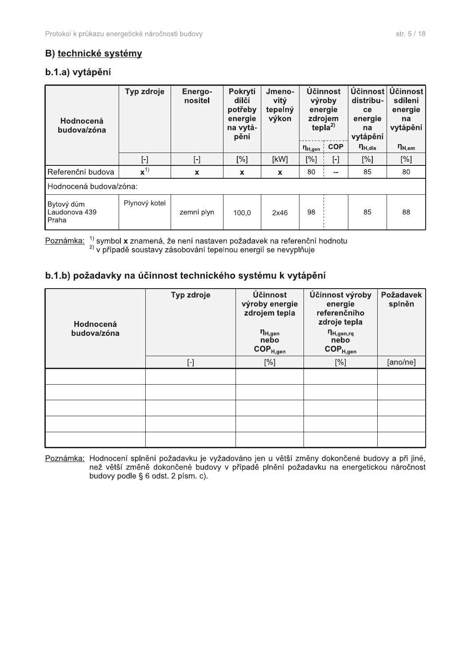#### B) technické systémy

#### b.1.a) vytápění

| Hodnocená<br>budova/zóna             | Typ zdroje                                               | Energo-<br>nositel                                                                                                                                                                                                                                                                                                                                                                                                                                                                                                                                                                                           | Pokrytí<br>dílčí<br>potřeby<br>energie<br>na vytá-<br>pění | Jmeno-<br>vitý<br>tepelný<br>výkon | výroby<br>tepla $^{2)}$ | Účinnost<br>energie<br>zdrojem | Účinnost<br>distribu-<br>ce<br>energie<br>na<br>vytápění | Účinnost<br>sdílení<br>energie<br>na<br>vytápění |
|--------------------------------------|----------------------------------------------------------|--------------------------------------------------------------------------------------------------------------------------------------------------------------------------------------------------------------------------------------------------------------------------------------------------------------------------------------------------------------------------------------------------------------------------------------------------------------------------------------------------------------------------------------------------------------------------------------------------------------|------------------------------------------------------------|------------------------------------|-------------------------|--------------------------------|----------------------------------------------------------|--------------------------------------------------|
|                                      |                                                          |                                                                                                                                                                                                                                                                                                                                                                                                                                                                                                                                                                                                              |                                                            |                                    | $\eta_{H,gen}$ COP      |                                | $\eta_{H,dis}$                                           | $\eta_{H,em}$                                    |
|                                      | $\left[ \begin{smallmatrix} - \end{smallmatrix} \right]$ | $[\cdot] % \centering \includegraphics[width=0.9\columnwidth]{figures/fig_10.pdf} \caption{The graph $\mathcal{N}_1$ is a function of the number of~\textit{N}_1$ and the number of~\textit{N}_2$ is a function of the number of~\textit{N}_1$ (top) and the number of~\textit{N}_2$ (bottom) and the number of~\textit{N}_1$ (bottom) and the number of~\textit{N}_2$ (bottom) and the number of~\textit{N}_1$ (bottom) and the number of~\textit{N}_2$ (bottom) and the number of~\textit{N}_1$ (bottom) and the number of~\textit{N}_2$ (bottom) and the number of~\textit{N}_1$ (bottom) and the number$ | [%]                                                        | [kW]                               | [%]                     | $[\cdot]$                      | [%]                                                      | [%]                                              |
| Referenční budova                    | $\mathbf{x}^{()}$                                        | X                                                                                                                                                                                                                                                                                                                                                                                                                                                                                                                                                                                                            | $\boldsymbol{\mathsf{x}}$                                  | $\mathbf x$                        | 80                      | $-$                            | 85                                                       | 80                                               |
| Hodnocená budova/zóna:               |                                                          |                                                                                                                                                                                                                                                                                                                                                                                                                                                                                                                                                                                                              |                                                            |                                    |                         |                                |                                                          |                                                  |
| Bytový dům<br>Laudonova 439<br>Praha | Plynový kotel                                            | zemní plyn                                                                                                                                                                                                                                                                                                                                                                                                                                                                                                                                                                                                   | 100.0                                                      | 2x46                               | 98                      |                                | 85                                                       | 88                                               |

<u>Poznámka:</u> <sup>1)</sup> symbol **x** znamená, že není nastaven požadavek na referenční hodnotu<br><sup>2)</sup> v případě soustavy zásobování tepelnou energií se nevyplňuje

## b.1.b) požadavky na účinnost technického systému k vytápění

| Hodnocená<br>budova/zóna | Typ zdroje        | Účinnost<br>výroby energie<br>zdrojem tepla<br>$\eta_{\mathsf{H},\mathsf{gen}}$<br>nebo<br>$\textsf{COP}_{H,\textsf{gen}}$ | Účinnost výroby<br>energie<br>referenčního<br>zdroje tepla<br>$\eta_{H,gen,rq}$<br>nebo<br>$COP_{H,gen}$ | Požadavek<br>splněn |
|--------------------------|-------------------|----------------------------------------------------------------------------------------------------------------------------|----------------------------------------------------------------------------------------------------------|---------------------|
|                          | $[\![ \cdot ]\!]$ | $[\%]$                                                                                                                     | $[\%]$                                                                                                   | [ano/ne]            |
|                          |                   |                                                                                                                            |                                                                                                          |                     |
|                          |                   |                                                                                                                            |                                                                                                          |                     |
|                          |                   |                                                                                                                            |                                                                                                          |                     |
|                          |                   |                                                                                                                            |                                                                                                          |                     |
|                          |                   |                                                                                                                            |                                                                                                          |                     |

Poznámka: Hodnocení splnění požadavku je vyžadováno jen u větší změny dokončené budovy a při jiné, než větší změně dokončené budovy v případě plnění požadavku na energetickou náročnost budovy podle § 6 odst. 2 písm. c).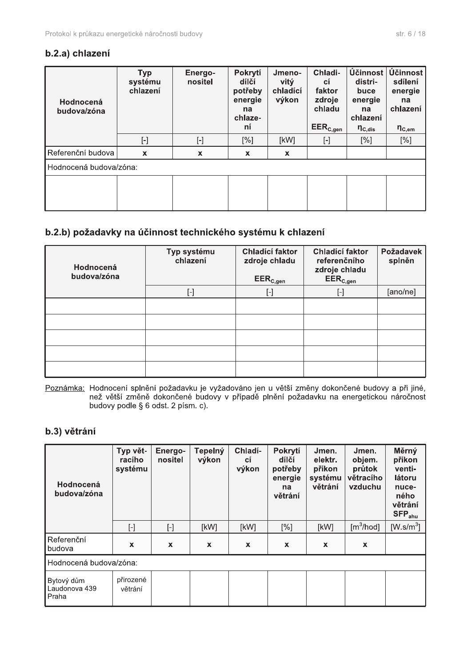#### b.2.a) chlazení

| Hodnocená<br>budova/zóna | <b>Typ</b><br>systému<br>chlazení                        | Energo-<br>nositel                                                                                                                                                                                                                                                                                                                                                                                                                                                                                                                                                                      | Pokrytí<br>dílčí<br>potřeby<br>energie<br>na<br>chlaze-<br>ní | Jmeno-<br>vitý<br>chladící<br>výkon | Chladi-<br>СÍ<br>faktor<br>zdroje<br>chladu<br>$EER_{C,gen}$ | Účinnost<br>distri-<br>buce<br>energie<br>na<br>chlazení<br>$\eta_{\rm C,dis}$ | Účinnost<br>sdílení<br>energie<br>na<br>chlazení<br>$n_{\rm C, em}$ |
|--------------------------|----------------------------------------------------------|-----------------------------------------------------------------------------------------------------------------------------------------------------------------------------------------------------------------------------------------------------------------------------------------------------------------------------------------------------------------------------------------------------------------------------------------------------------------------------------------------------------------------------------------------------------------------------------------|---------------------------------------------------------------|-------------------------------------|--------------------------------------------------------------|--------------------------------------------------------------------------------|---------------------------------------------------------------------|
|                          | $\left[ \begin{smallmatrix} - \end{smallmatrix} \right]$ | $[\cdot] % \centering \includegraphics[width=0.9\columnwidth]{figures/fig_10.pdf} \caption{The graph $\mathcal{N}_1$ is a function of the number of~\textit{N}_1$-error of the number of~\textit{N}_2$-error of the number of~\textit{N}_1$-error of the number of~\textit{N}_2$-error of the number of~\textit{N}_1$-error of the number of~\textit{N}_2$-error of the number of~\textit{N}_1$-error of the number of~\textit{N}_2$-error of the number of~\textit{N}_1$-error of the number of~\textit{N}_2$-error of the number of~\textit{N}_1$-error of the number of~\textit{N}_$ | [%]                                                           | [kW]                                | $[\cdot]$                                                    | [%]                                                                            | $[\%]$                                                              |
| Referenční budova        | $\mathbf{x}$                                             | $\mathbf{x}$                                                                                                                                                                                                                                                                                                                                                                                                                                                                                                                                                                            | $\mathbf{x}$                                                  | $\mathbf{x}$                        |                                                              |                                                                                |                                                                     |
| Hodnocená budova/zóna:   |                                                          |                                                                                                                                                                                                                                                                                                                                                                                                                                                                                                                                                                                         |                                                               |                                     |                                                              |                                                                                |                                                                     |
|                          |                                                          |                                                                                                                                                                                                                                                                                                                                                                                                                                                                                                                                                                                         |                                                               |                                     |                                                              |                                                                                |                                                                     |

#### b.2.b) požadavky na účinnost technického systému k chlazení

| Hodnocená<br>budova/zóna | Typ systému<br>chlazení | Chladící faktor<br>zdroje chladu<br>$EER_{C,gen}$ | Chladící faktor<br>referenčního<br>zdroje chladu<br>$\mathsf{EER}_{\mathsf{C},\mathsf{gen}}$ | Požadavek<br>splněn |
|--------------------------|-------------------------|---------------------------------------------------|----------------------------------------------------------------------------------------------|---------------------|
|                          | $[\cdot]$               | $[\hbox{-}]$                                      | $\left[ \cdot \right]$                                                                       | [ano/ne]            |
|                          |                         |                                                   |                                                                                              |                     |
|                          |                         |                                                   |                                                                                              |                     |
|                          |                         |                                                   |                                                                                              |                     |
|                          |                         |                                                   |                                                                                              |                     |
|                          |                         |                                                   |                                                                                              |                     |

Poznámka: Hodnocení splnění požadavku je vyžadováno jen u větší změny dokončené budovy a při jiné, než větší změně dokončené budovy v případě plnění požadavku na energetickou náročnost budovy podle § 6 odst. 2 písm. c).

#### b.3) větrání

| Hodnocená<br>budova/zóna             | Typ vět-<br>racího<br>systému | Energo-<br>nositel | <b>Tepelný</b><br>výkon | Chladí-<br>СÍ<br>výkon | Pokrytí<br>dílčí<br>potřeby<br>energie<br>na<br>větrání | Jmen.<br>elektr.<br>příkon<br>systému<br>větrání | Jmen.<br>objem.<br>průtok<br>větracího<br>vzduchu | Měrný<br>příkon<br>venti-<br>látoru<br>nuce-<br>ného<br>větrání<br><b>SFP</b> <sub>ahu</sub> |
|--------------------------------------|-------------------------------|--------------------|-------------------------|------------------------|---------------------------------------------------------|--------------------------------------------------|---------------------------------------------------|----------------------------------------------------------------------------------------------|
|                                      | $[\![\text{-}\!]$             | $[\cdot]$          | [kW]                    | [kW]                   | [%]                                                     | [kW]                                             | $\lceil m^3/h$ od]                                | [W.s/m <sup>3</sup> ]                                                                        |
| Referenční<br>budova                 | $\mathbf x$                   | $\mathbf x$        | $\mathbf x$             | $\mathbf x$            | $\mathbf x$                                             | $\mathbf x$                                      | $\mathbf x$                                       |                                                                                              |
| Hodnocená budova/zóna:               |                               |                    |                         |                        |                                                         |                                                  |                                                   |                                                                                              |
| Bytový dům<br>Laudonova 439<br>Praha | přirozené<br>větrání          |                    |                         |                        |                                                         |                                                  |                                                   |                                                                                              |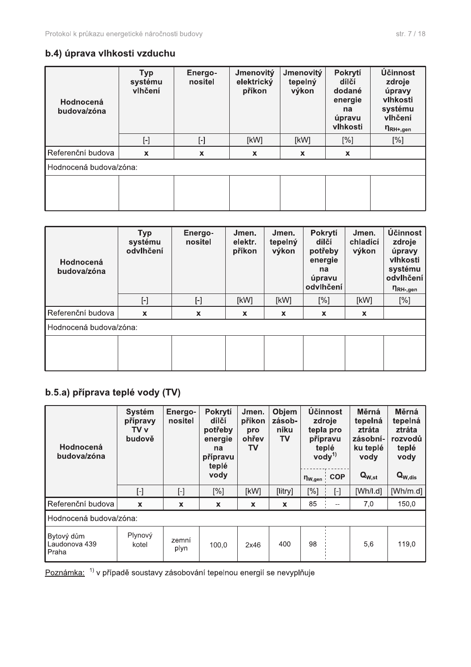# b.4) úprava vlhkosti vzduchu

| Hodnocená<br>budova/zóna | <b>Typ</b><br>systému<br>vlhčení | Energo-<br>nositel        | Jmenovitý<br>elektrický<br>příkon | Jmenovitý<br>tepelný<br>výkon | Pokrytí<br>dílčí<br>dodané<br>energie<br>na<br>úpravu<br>vlhkosti | Účinnost<br>zdroje<br>úpravy<br>vlhkosti<br>systému<br>vlhčení<br>$\eta_{\text{RH+,gen}}$ |
|--------------------------|----------------------------------|---------------------------|-----------------------------------|-------------------------------|-------------------------------------------------------------------|-------------------------------------------------------------------------------------------|
|                          | $[\cdot]$                        | $[\cdot]$                 | [kW]                              | [kW]                          | $[\%]$                                                            | $[\%]$                                                                                    |
| Referenční budova        | X                                | $\boldsymbol{\mathsf{x}}$ | $\boldsymbol{\mathsf{x}}$         | $\boldsymbol{\mathsf{x}}$     | $\boldsymbol{\mathsf{x}}$                                         |                                                                                           |
| Hodnocená budova/zóna:   |                                  |                           |                                   |                               |                                                                   |                                                                                           |
|                          |                                  |                           |                                   |                               |                                                                   |                                                                                           |

| Hodnocená<br>budova/zóna | <b>Typ</b><br>systému<br>odvlhčení | Energo-<br>nositel | Jmen.<br>elektr.<br>příkon | Jmen.<br>tepelný<br>výkon | Pokrytí<br>dílčí<br>potřeby<br>energie<br>na<br>úpravu<br>odvlhčení | Jmen.<br>chladící<br>výkon | Účinnost<br>zdroje<br>úpravy<br>vlhkosti<br>systému<br>odvlhčení<br>$\eta_{\text{RH-},gen}$ |
|--------------------------|------------------------------------|--------------------|----------------------------|---------------------------|---------------------------------------------------------------------|----------------------------|---------------------------------------------------------------------------------------------|
|                          | $[\cdot]$                          | $[\hbox{-}]$       | [kW]                       | [kW]                      | [%]                                                                 | [kW]                       | [%]                                                                                         |
| Referenční budova        | $\mathbf{x}$                       | X                  | $\boldsymbol{\mathsf{X}}$  | $\boldsymbol{\mathsf{x}}$ | $\mathbf x$                                                         | $\boldsymbol{\mathsf{x}}$  |                                                                                             |
| Hodnocená budova/zóna:   |                                    |                    |                            |                           |                                                                     |                            |                                                                                             |
|                          |                                    |                    |                            |                           |                                                                     |                            |                                                                                             |

# b.5.a) příprava teplé vody (TV)

| Hodnocená<br>budova/zóna             | <b>Systém</b><br>přípravy<br>TV <sub>v</sub><br>budově                                                                                                                                                                                                                                                                                                                                                                                                                                                                                                                                            | Energo-<br>nositel<br>přípravu                                                                                                                                                                                                                                                                                                                                                                                                                                                                                                                                                          |               | Jmen.<br>příkon<br>pro<br>ohřev<br>TV | Objem<br>zásob-<br>níku<br>TV | Účinnost<br>zdroje<br>tepla pro<br>přípravu<br>teplé<br>$\mathsf{vody}^{(1)}$ |                   | Měrná<br>tepelná<br>ztráta<br>zásobní-<br>ku teplé<br>vody | Měrná<br>tepelná<br>ztráta<br>rozvodů<br>teplé<br>vody |
|--------------------------------------|---------------------------------------------------------------------------------------------------------------------------------------------------------------------------------------------------------------------------------------------------------------------------------------------------------------------------------------------------------------------------------------------------------------------------------------------------------------------------------------------------------------------------------------------------------------------------------------------------|-----------------------------------------------------------------------------------------------------------------------------------------------------------------------------------------------------------------------------------------------------------------------------------------------------------------------------------------------------------------------------------------------------------------------------------------------------------------------------------------------------------------------------------------------------------------------------------------|---------------|---------------------------------------|-------------------------------|-------------------------------------------------------------------------------|-------------------|------------------------------------------------------------|--------------------------------------------------------|
|                                      |                                                                                                                                                                                                                                                                                                                                                                                                                                                                                                                                                                                                   |                                                                                                                                                                                                                                                                                                                                                                                                                                                                                                                                                                                         | teplé<br>vody |                                       |                               | $\n  \eta_{W,gen}$                                                            | <b>COP</b>        | $Q_{W,st}$                                                 | $\mathbf{Q}_{\mathsf{W},\mathsf{dis}}$                 |
|                                      | $\left[ -\right] % \includegraphics[width=0.9\columnwidth]{figures/2000.pdf} \caption{The graph $\mathcal{N}_1$ is a function of the parameter $\mathcal{N}_1$ and $\mathcal{N}_2$ is a function of the parameter $\mathcal{N}_1$ and $\mathcal{N}_2$ is a function of the parameter $\mathcal{N}_1$ and $\mathcal{N}_2$ is a function of the parameter $\mathcal{N}_1$ and $\mathcal{N}_2$ is a function of the parameter $\mathcal{N}_1$ and $\mathcal{N}_2$ is a function of the parameter $\mathcal{N}_1$ and $\mathcal{N}_2$ is a function of the parameter $\mathcal{N}_1$.} \label{fig:1}$ | $[\cdot] % \centering \includegraphics[width=0.9\columnwidth]{figures/fig_10.pdf} \caption{The graph $\mathcal{N}_1$ is a function of the number of~\textit{N}_1$-error of the number of~\textit{N}_2$-error of the number of~\textit{N}_1$-error of the number of~\textit{N}_2$-error of the number of~\textit{N}_1$-error of the number of~\textit{N}_2$-error of the number of~\textit{N}_1$-error of the number of~\textit{N}_2$-error of the number of~\textit{N}_1$-error of the number of~\textit{N}_2$-error of the number of~\textit{N}_1$-error of the number of~\textit{N}_$ | [%]           | [kW]                                  | [litry]                       | [%]                                                                           | $[\cdot]$         | [Wh/l.d]                                                   | [Wh/m.d]                                               |
| Referenční budova                    | $\mathbf{x}$                                                                                                                                                                                                                                                                                                                                                                                                                                                                                                                                                                                      | $\boldsymbol{\mathsf{x}}$                                                                                                                                                                                                                                                                                                                                                                                                                                                                                                                                                               | X             | $\mathbf{x}$                          | X                             | 85                                                                            | $\qquad \qquad -$ | 7,0                                                        | 150,0                                                  |
| Hodnocená budova/zóna:               |                                                                                                                                                                                                                                                                                                                                                                                                                                                                                                                                                                                                   |                                                                                                                                                                                                                                                                                                                                                                                                                                                                                                                                                                                         |               |                                       |                               |                                                                               |                   |                                                            |                                                        |
| Bytový dům<br>Laudonova 439<br>Praha | Plynový<br>kotel                                                                                                                                                                                                                                                                                                                                                                                                                                                                                                                                                                                  | zemní<br>plyn                                                                                                                                                                                                                                                                                                                                                                                                                                                                                                                                                                           | 100,0         | 2x46                                  | 400                           | 98                                                                            |                   | 5,6                                                        | 119,0                                                  |

Poznámka: <sup>1)</sup> v případě soustavy zásobování tepelnou energií se nevyplňuje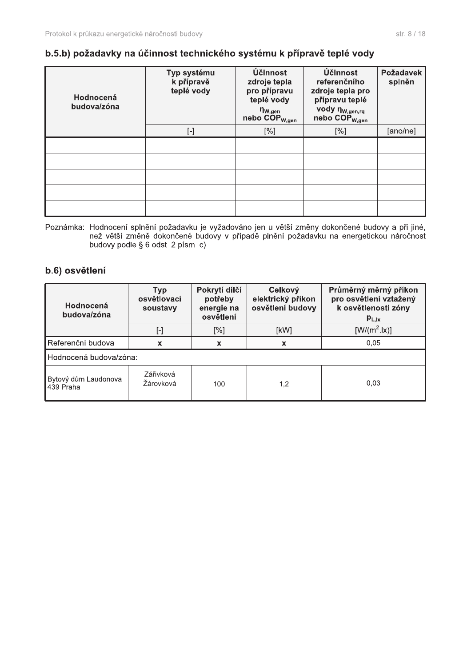#### b.5.b) požadavky na účinnost technického systému k přípravě teplé vody

| Hodnocená<br>budova/zóna | Typ systému<br>k přípravě<br>teplé vody | Účinnost<br>zdroje tepla<br>pro přípravu<br>teplé vody<br>$\eta_{\mathsf{W},\mathsf{gen}}$ nebo COP $_{\mathsf{W},\mathsf{gen}}$ | Účinnost<br>referenčního<br>zdroje tepla pro<br>přípravu teplé<br>vody n <sub>W,gen,rq</sub><br>nebo COP <sub>W,gen</sub> | Požadavek<br>splněn |
|--------------------------|-----------------------------------------|----------------------------------------------------------------------------------------------------------------------------------|---------------------------------------------------------------------------------------------------------------------------|---------------------|
|                          | $[\![ \cdot ]\!]$                       | [%]                                                                                                                              | [%]                                                                                                                       | [ano/ne]            |
|                          |                                         |                                                                                                                                  |                                                                                                                           |                     |
|                          |                                         |                                                                                                                                  |                                                                                                                           |                     |
|                          |                                         |                                                                                                                                  |                                                                                                                           |                     |
|                          |                                         |                                                                                                                                  |                                                                                                                           |                     |
|                          |                                         |                                                                                                                                  |                                                                                                                           |                     |

Poznámka: Hodnocení splnění požadavku je vyžadováno jen u větší změny dokončené budovy a při jiné,<br>než větší změně dokončené budovy v případě plnění požadavku na energetickou náročnost budovy podle § 6 odst. 2 písm. c).

#### b.6) osvětlení

| Hodnocená<br>budova/zóna          | <b>Typ</b><br>osvětlovací<br>soustavy | Pokrytí dílčí<br>Celkový<br>elektrický příkon<br>potřeby<br>osvětlení budovy<br>energie na<br>osvětlení |      | Průměrný měrný příkon<br>pro osvětlení vztažený<br>k osvětlenosti zóny<br>$P_{L,1x}$ |
|-----------------------------------|---------------------------------------|---------------------------------------------------------------------------------------------------------|------|--------------------------------------------------------------------------------------|
|                                   | $[\cdot]$                             | [%]                                                                                                     | [kW] | $[W/(m^2.1x)]$                                                                       |
| Referenční budova                 | $\boldsymbol{\mathsf{x}}$             | $\boldsymbol{\mathsf{x}}$                                                                               | X    | 0.05                                                                                 |
| Hodnocená budova/zóna:            |                                       |                                                                                                         |      |                                                                                      |
| Bytový dům Laudonova<br>439 Praha | Zářivková<br>Žárovková                | 100                                                                                                     | 1,2  | 0.03                                                                                 |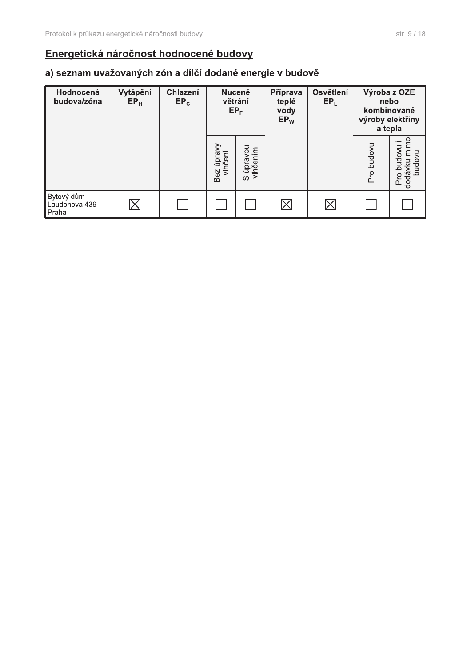# Energetická náročnost hodnocené budovy

# a) seznam uvažovaných zón a dílčí dodané energie v budově

| Hodnocená<br>budova/zóna             | Vytápění<br>EP <sub>H</sub> | Chlazení<br>EP <sub>c</sub> |                        | <b>Nucené</b><br>větrání<br>$EP_F$ | Příprava<br>teplé<br>vody<br>$EP_W$ | Osvětlení<br>$EP_L$ |            | Výroba z OZE<br>nebo<br>kombinované<br>výroby elektřiny<br>a tepla |
|--------------------------------------|-----------------------------|-----------------------------|------------------------|------------------------------------|-------------------------------------|---------------------|------------|--------------------------------------------------------------------|
|                                      |                             |                             | úpra<br>vlhčení<br>Bez | úpravou<br>vlhčením<br>$\omega$    |                                     |                     | Pro budovu | budov<br>dodávku<br>budo<br>Pro                                    |
| Bytový dům<br>Laudonova 439<br>Praha |                             |                             |                        |                                    |                                     |                     |            |                                                                    |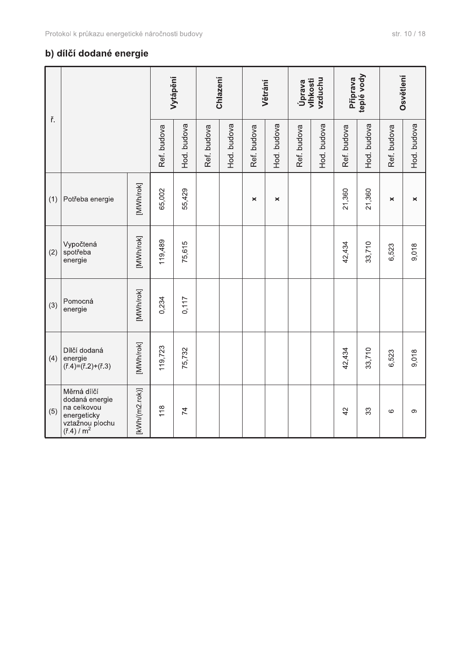# b) dílčí dodané energie

|     | ř.                                                                                                       |                 |             | Vytápění       |             | Chlazení    |             | Větrání        | Úprava      | vzduchu<br>vlhkosti | Příprava    | teplé vody  |             | Osvětlení      |
|-----|----------------------------------------------------------------------------------------------------------|-----------------|-------------|----------------|-------------|-------------|-------------|----------------|-------------|---------------------|-------------|-------------|-------------|----------------|
|     |                                                                                                          |                 | Ref. budova | Hod. budova    | Ref. budova | Hod. budova | Ref. budova | Hod. budova    | Ref. budova | Hod. budova         | Ref. budova | Hod. budova | Ref. budova | Hod. budova    |
| (1) | Potřeba energie                                                                                          | [MWh/rok]       | 65,002      | 55,429         |             |             | $\times$    | $\pmb{\times}$ |             |                     | 21,360      | 21,360      | $\times$    | $\pmb{\times}$ |
| (2) | Vypočtená<br>spotřeba<br>energie                                                                         | [MWh/rok]       | 119,489     | 75,615         |             |             |             |                |             |                     | 42,434      | 33,710      | 6,523       | 9,018          |
| (3) | Pomocná<br>energie                                                                                       | [MWh/rok]       | 0,234       | 0,117          |             |             |             |                |             |                     |             |             |             |                |
| (4) | Dílčí dodaná<br>energie<br>$(\check{r}.4) = (\check{r}.2) + (\check{r}.3)$                               | [MWh/rok]       | 119,723     | 75,732         |             |             |             |                |             |                     | 42,434      | 33,710      | 6,523       | 9,018          |
| (5) | Měrná dílčí<br>dodaná energie<br>na celkovou<br>energeticky<br>vztažnou plochu<br>(ř.4) / m <sup>2</sup> | [kWh/(m2. rok)] | 118         | $\overline{7}$ |             |             |             |                |             |                     | 42          | 33          | $\circ$     | တ              |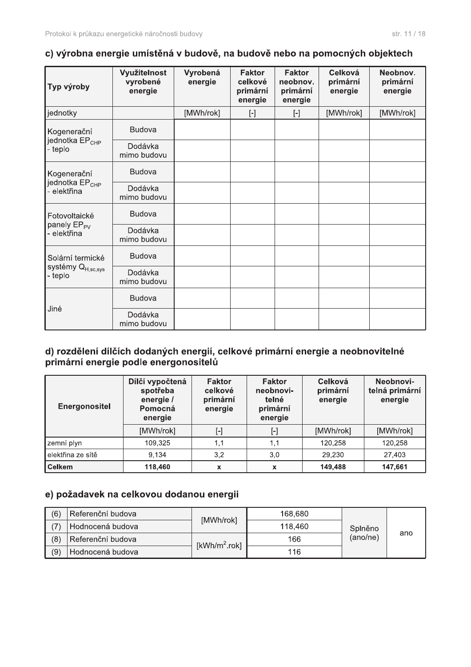#### c) výrobna energie umístěná v budově, na budově nebo na pomocných objektech

| Typ výroby                                             | Využitelnost<br>vyrobené<br>energie | Vyrobená<br>energie | <b>Faktor</b><br>celkové<br>primární<br>energie | <b>Faktor</b><br>neobnov.<br>primární<br>energie | Celková<br>primární<br>energie | Neobnov.<br>primární<br>energie |
|--------------------------------------------------------|-------------------------------------|---------------------|-------------------------------------------------|--------------------------------------------------|--------------------------------|---------------------------------|
| jednotky                                               |                                     | [MWh/rok]           | $[\cdot]$                                       | $[\cdot]$                                        | [MWh/rok]                      | [MWh/rok]                       |
| Kogenerační                                            | <b>Budova</b>                       |                     |                                                 |                                                  |                                |                                 |
| jednotka EP <sub>CHP</sub><br>- teplo                  | Dodávka<br>mimo budovu              |                     |                                                 |                                                  |                                |                                 |
| Kogenerační<br>jednotka EP <sub>CHP</sub><br>elektřina | <b>Budova</b>                       |                     |                                                 |                                                  |                                |                                 |
|                                                        | Dodávka<br>mimo budovu              |                     |                                                 |                                                  |                                |                                 |
| Fotovoltaické                                          | <b>Budova</b>                       |                     |                                                 |                                                  |                                |                                 |
| panely EP <sub>PV</sub><br>- elektřina                 | Dodávka<br>mimo budovu              |                     |                                                 |                                                  |                                |                                 |
| Solární termické                                       | <b>Budova</b>                       |                     |                                                 |                                                  |                                |                                 |
| systémy Q <sub>H,sc,sys</sub><br>- teplo               | Dodávka<br>mimo budovu              |                     |                                                 |                                                  |                                |                                 |
|                                                        | <b>Budova</b>                       |                     |                                                 |                                                  |                                |                                 |
| Jiné                                                   | Dodávka<br>mimo budovu              |                     |                                                 |                                                  |                                |                                 |

#### d) rozdělení dílčích dodaných energií, celkové primární energie a neobnovitelné primární energie podle energonositelů

| Energonositel     | Dílčí vypočtená<br>spotřeba<br>energie /<br>Pomocná<br>energie | <b>Faktor</b><br>celkové<br>primární<br>energie | Faktor<br>neobnovi-<br>telné<br>primární<br>energie | Celková<br>primární<br>energie | Neobnovi-<br>telná primární<br>energie |  |
|-------------------|----------------------------------------------------------------|-------------------------------------------------|-----------------------------------------------------|--------------------------------|----------------------------------------|--|
|                   | [MWh/rok]                                                      | $\boxdot$                                       | $[\cdot]$                                           | [MWh/rok]                      | [MWh/rok]                              |  |
| zemní plyn        | 109.325                                                        | 1,1                                             | 1,1                                                 | 120.258                        | 120,258                                |  |
| elektřina ze sítě | 9.134                                                          | 3,2                                             | 3,0                                                 | 29,230                         | 27,403                                 |  |
| <b>Celkem</b>     | 118,460                                                        | X                                               | X                                                   | 149,488                        | 147,661                                |  |

### e) požadavek na celkovou dodanou energii

| (6)           | Referenční budova |                  | 168.680 |          |     |
|---------------|-------------------|------------------|---------|----------|-----|
| $\mathcal{T}$ | Hodnocená budova  | [MWh/rok]        | 118.460 | Splněno  |     |
| (8)           | Referenční budova | [ $kWh/m2$ .rok] | 166     | (ano/ne) | ano |
| (9)           | Hodnocená budova  |                  | 116     |          |     |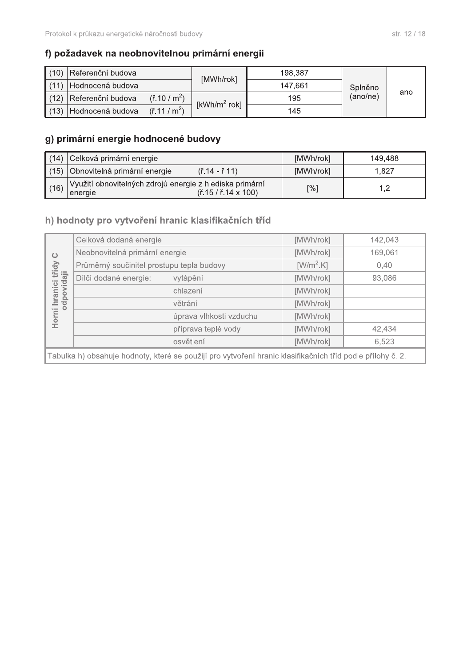# f) požadavek na neobnovitelnou primární energii

| $(10)$ . | Referenční budova |                                    |                  | 198.387 |          |     |
|----------|-------------------|------------------------------------|------------------|---------|----------|-----|
| (11)     | Hodnocená budova  |                                    | [MWh/rok]        | 147.661 | Splněno  |     |
| $(12)$ , | Referenční budova | $(\text{r}$ .10 / m <sup>2</sup> ) | [ $kWh/m2$ .rok] | 195     | (ano/ne) | ano |
| (13)     | Hodnocená budova  | $(\text{r}$ .11 / m <sup>2</sup> ) |                  | 145     |          |     |

# g) primární energie hodnocené budovy

|      | (14) Celková primární energie                                                                                     | [MWh/rok] | 149.488 |
|------|-------------------------------------------------------------------------------------------------------------------|-----------|---------|
|      | (15) Obnovitelná primární energie<br>$(\check{r}.14 - \check{r}.11)$                                              | [MWh/rok] | 1.827   |
| (16) | Využití obnovitelných zdrojů energie z hlediska primární<br>$(\check{r}.15 / \check{r}.14 \times 100)$<br>energie | [%]       |         |

#### h) hodnoty pro vytvoření hranic klasifikačních tříd

| $\circ$   | Celková dodaná energie                                                                                     | [MWh/rok]             | 142,043 |  |  |  |
|-----------|------------------------------------------------------------------------------------------------------------|-----------------------|---------|--|--|--|
|           | Neobnovitelná primární energie                                                                             | [MWh/rok]             | 169,061 |  |  |  |
| třidy     | Průměrný součinitel prostupu tepla budovy                                                                  | [W/m <sup>2</sup> .K] | 0,40    |  |  |  |
| daji<br>ပ | Dílčí dodané energie:<br>vytápění                                                                          | [MWh/rok]             | 93,086  |  |  |  |
| Π<br>po   | chlazení                                                                                                   | [MWh/rok]             |         |  |  |  |
| ਠ<br>O    | větrání                                                                                                    | [MWh/rok]             |         |  |  |  |
| Horni     | úprava vlhkosti vzduchu                                                                                    | [MWh/rok]             |         |  |  |  |
|           | příprava teplé vody                                                                                        | [MWh/rok]             | 42,434  |  |  |  |
|           | osvětlení                                                                                                  | [MWh/rok]             | 6,523   |  |  |  |
|           | Tabulka h) obsahuje hodnoty, které se použijí pro vytvoření hranic klasifikačních tříd podle přílohy č. 2. |                       |         |  |  |  |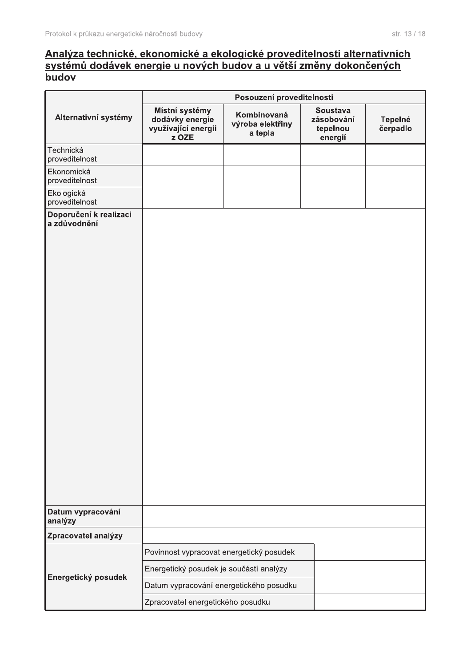# Analýza technické, ekonomické a ekologické proveditelnosti alternativních<br>systémů dodávek energie u nových budov a u větší změny dokončených budov

|                                        | Posouzení proveditelnosti                                         |                                            |                                                      |                            |  |  |
|----------------------------------------|-------------------------------------------------------------------|--------------------------------------------|------------------------------------------------------|----------------------------|--|--|
| Alternativní systémy                   | Místní systémy<br>dodávky energie<br>využívající energii<br>z OZE | Kombinovaná<br>výroba elektřiny<br>a tepla | <b>Soustava</b><br>zásobování<br>tepelnou<br>energií | <b>Tepelné</b><br>čerpadlo |  |  |
| Technická<br>proveditelnost            |                                                                   |                                            |                                                      |                            |  |  |
| Ekonomická<br>proveditelnost           |                                                                   |                                            |                                                      |                            |  |  |
| Ekologická<br>proveditelnost           |                                                                   |                                            |                                                      |                            |  |  |
| Doporučení k realizaci<br>a zdůvodnění |                                                                   |                                            |                                                      |                            |  |  |
| Datum vypracování<br>analýzy           |                                                                   |                                            |                                                      |                            |  |  |
| Zpracovatel analýzy                    |                                                                   |                                            |                                                      |                            |  |  |
|                                        | Povinnost vypracovat energetický posudek                          |                                            |                                                      |                            |  |  |
| Energetický posudek                    | Energetický posudek je součástí analýzy                           |                                            |                                                      |                            |  |  |
|                                        | Datum vypracování energetického posudku                           |                                            |                                                      |                            |  |  |
|                                        | Zpracovatel energetického posudku                                 |                                            |                                                      |                            |  |  |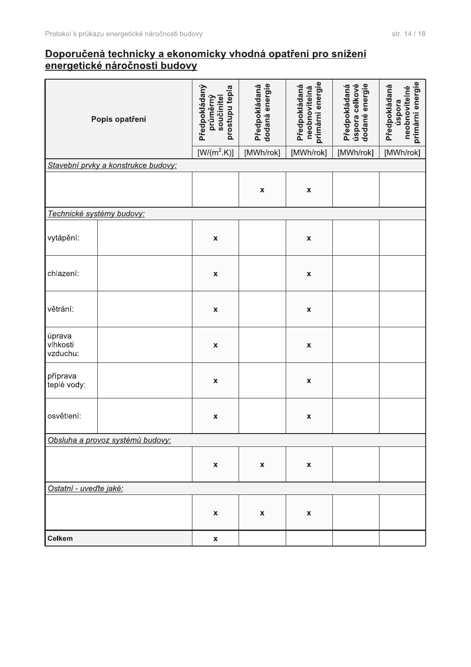# Doporučená technicky a ekonomicky vhodná opatření pro snížení<br>energetické náročnosti budovy

| Popis opatření                   |                                     | Předpokládaný<br>prostupu tepla<br>průměrný<br>součinitel | dodaná energie<br>Předpokládaná | primární energie<br>Předpokládaná<br>neobnovitelná | dodané energie<br>úspora celkové<br>Předpokládaná | primární energie<br>Předpokládaná<br>neobnovitelné<br>úspora |  |
|----------------------------------|-------------------------------------|-----------------------------------------------------------|---------------------------------|----------------------------------------------------|---------------------------------------------------|--------------------------------------------------------------|--|
|                                  |                                     | $[ W / (m^2.K) ]$                                         | [MWh/rok]                       | [MWh/rok]                                          | [MWh/rok]                                         | [MWh/rok]                                                    |  |
|                                  | Stavební prvky a konstrukce budovy: |                                                           |                                 |                                                    |                                                   |                                                              |  |
|                                  |                                     |                                                           | $\pmb{\mathsf{x}}$              | $\boldsymbol{\mathsf{x}}$                          |                                                   |                                                              |  |
| Technické systémy budovy:        |                                     |                                                           |                                 |                                                    |                                                   |                                                              |  |
| vytápění:                        |                                     | $\pmb{\mathsf{X}}$                                        |                                 | $\pmb{\mathsf{x}}$                                 |                                                   |                                                              |  |
| chlazení:                        |                                     | $\pmb{\mathsf{X}}$                                        |                                 | $\pmb{\mathsf{x}}$                                 |                                                   |                                                              |  |
| větrání:                         |                                     | $\boldsymbol{\mathsf{X}}$                                 |                                 | $\pmb{\mathsf{x}}$                                 |                                                   |                                                              |  |
| ∣úprava<br>vihkosti<br>vzduchu:  |                                     | $\pmb{\mathsf{X}}$                                        |                                 | $\pmb{\mathsf{x}}$                                 |                                                   |                                                              |  |
| příprava<br>teplé vody:          |                                     | $\boldsymbol{\mathsf{X}}$                                 |                                 | $\boldsymbol{\mathsf{x}}$                          |                                                   |                                                              |  |
| osvětlení:                       |                                     | $\pmb{\mathsf{X}}$                                        |                                 | $\pmb{\mathsf{x}}$                                 |                                                   |                                                              |  |
| Obsluha a provoz systémů budovy: |                                     |                                                           |                                 |                                                    |                                                   |                                                              |  |
|                                  |                                     | $\boldsymbol{\mathsf{X}}$                                 | $\pmb{\mathsf{x}}$              | $\boldsymbol{\mathsf{x}}$                          |                                                   |                                                              |  |
| Ostatní - uveďte jaké:           |                                     |                                                           |                                 |                                                    |                                                   |                                                              |  |
|                                  |                                     | $\pmb{\mathsf{x}}$                                        | $\boldsymbol{\mathsf{X}}$       | $\boldsymbol{\mathsf{x}}$                          |                                                   |                                                              |  |
| <b>Celkem</b>                    |                                     | $\boldsymbol{\mathsf{X}}$                                 |                                 |                                                    |                                                   |                                                              |  |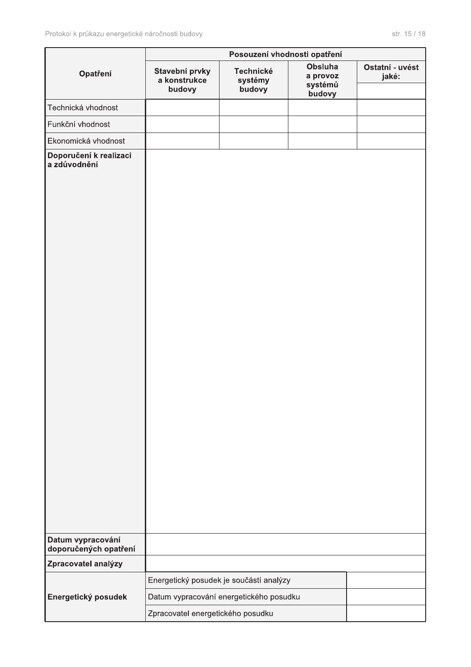|                                            | Posouzení vhodnosti opatření             |                                       |                                          |                          |  |  |
|--------------------------------------------|------------------------------------------|---------------------------------------|------------------------------------------|--------------------------|--|--|
| Opatření                                   | Stavební prvky<br>a konstrukce<br>budovy | <b>Technické</b><br>systémy<br>budovy | Obsluha<br>a provoz<br>systémů<br>budovy | Ostatní - uvést<br>jaké: |  |  |
| Technická vhodnost                         |                                          |                                       |                                          |                          |  |  |
| Funkční vhodnost                           |                                          |                                       |                                          |                          |  |  |
| Ekonomická vhodnost                        |                                          |                                       |                                          |                          |  |  |
| Doporučení k realizaci<br>a zdůvodnění     |                                          |                                       |                                          |                          |  |  |
| Datum vypracování<br>doporučených opatření |                                          |                                       |                                          |                          |  |  |
| Zpracovatel analýzy                        |                                          |                                       |                                          |                          |  |  |
|                                            | Energetický posudek je součástí analýzy  |                                       |                                          |                          |  |  |
| Energetický posudek                        | Datum vypracování energetického posudku  |                                       |                                          |                          |  |  |
|                                            | Zpracovatel energetického posudku        |                                       |                                          |                          |  |  |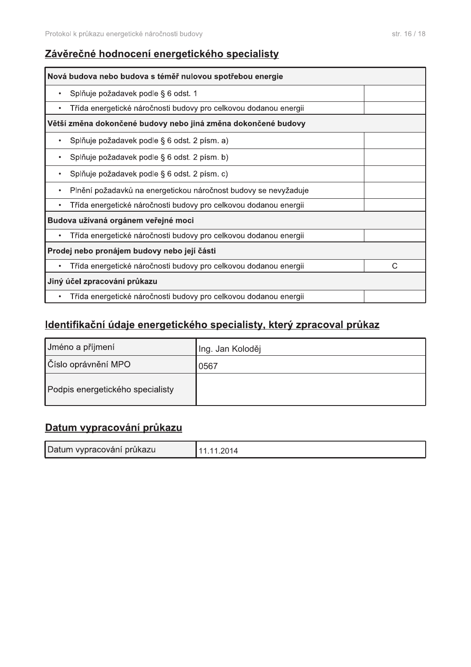# Závěrečné hodnocení energetického specialisty

| Nová budova nebo budova s téměř nulovou spotřebou energie                     |   |  |  |  |  |  |
|-------------------------------------------------------------------------------|---|--|--|--|--|--|
| Splňuje požadavek podle § 6 odst. 1                                           |   |  |  |  |  |  |
| Třída energetické náročnosti budovy pro celkovou dodanou energii<br>٠         |   |  |  |  |  |  |
| Větší změna dokončené budovy nebo jiná změna dokončené budovy                 |   |  |  |  |  |  |
| Splňuje požadavek podle § 6 odst. 2 písm. a)<br>٠                             |   |  |  |  |  |  |
| Splňuje požadavek podle § 6 odst. 2 písm. b)                                  |   |  |  |  |  |  |
| Splňuje požadavek podle § 6 odst. 2 písm. c)                                  |   |  |  |  |  |  |
| Plnění požadavků na energetickou náročnost budovy se nevyžaduje               |   |  |  |  |  |  |
| Třída energetické náročnosti budovy pro celkovou dodanou energii<br>$\bullet$ |   |  |  |  |  |  |
| Budova užívaná orgánem veřejné moci                                           |   |  |  |  |  |  |
| Třída energetické náročnosti budovy pro celkovou dodanou energii              |   |  |  |  |  |  |
| Prodej nebo pronájem budovy nebo její části                                   |   |  |  |  |  |  |
| Třída energetické náročnosti budovy pro celkovou dodanou energii              | C |  |  |  |  |  |
| Jiný účel zpracování průkazu                                                  |   |  |  |  |  |  |
| Třída energetické náročnosti budovy pro celkovou dodanou energii              |   |  |  |  |  |  |

# Identifikační údaje energetického specialisty, který zpracoval průkaz

| Uméno a příjmení                 | Ing. Jan Koloděj |
|----------------------------------|------------------|
| Číslo oprávnění MPO              | 0567             |
| Podpis energetického specialisty |                  |

# Datum vypracování průkazu

| Datum vypracování průkazu | າ∩1<br>л л |
|---------------------------|------------|
|---------------------------|------------|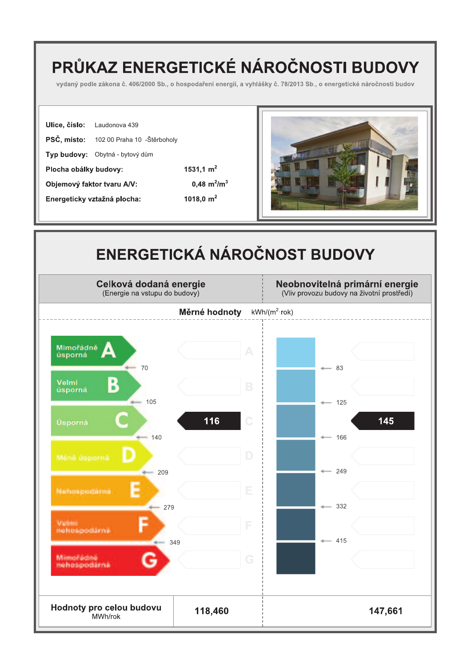# PRŮKAZ ENERGETICKÉ NÁROČNOSTI BUDOVY

vydaný podle zákona č. 406/2000 Sb., o hospodaření energií, a vyhlášky č. 78/2013 Sb., o energetické náročnosti budov

Ulice, číslo: Laudonova 439 PSČ, místo: 102 00 Praha 10 -Štěrboholy Typ budovy: Obytná - bytový dům Plocha obálky budovy: Objemový faktor tvaru A/V:

Energeticky vztažná plocha:

1531,1  $m<sup>2</sup>$ 0,48  $m^2/m^3$ 1018,0  $m<sup>2</sup>$